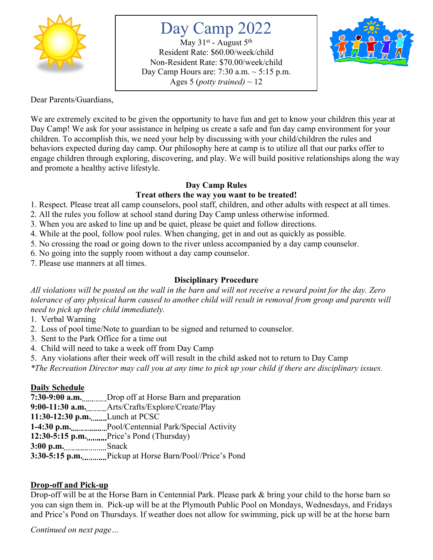

# Day Camp 2022

May  $31^{st}$  - August  $5^{th}$ Resident Rate: \$60.00/week/child Non-Resident Rate: \$70.00/week/child Day Camp Hours are: 7:30 a.m.  $\sim$  5:15 p.m. Ages 5 (*potty trained*)  $\sim$  12



Dear Parents/Guardians,

We are extremely excited to be given the opportunity to have fun and get to know your children this year at Day Camp! We ask for your assistance in helping us create a safe and fun day camp environment for your children. To accomplish this, we need your help by discussing with your child/children the rules and behaviors expected during day camp. Our philosophy here at camp is to utilize all that our parks offer to engage children through exploring, discovering, and play. We will build positive relationships along the way and promote a healthy active lifestyle.

#### **Day Camp Rules**

## **Treat others the way you want to be treated!**

1. Respect. Please treat all camp counselors, pool staff, children, and other adults with respect at all times.

2. All the rules you follow at school stand during Day Camp unless otherwise informed.

3. When you are asked to line up and be quiet, please be quiet and follow directions.

4. While at the pool, follow pool rules. When changing, get in and out as quickly as possible.

5. No crossing the road or going down to the river unless accompanied by a day camp counselor.

6. No going into the supply room without a day camp counselor.

7. Please use manners at all times.

## **Disciplinary Procedure**

*All violations will be posted on the wall in the barn and will not receive a reward point for the day. Zero tolerance of any physical harm caused to another child will result in removal from group and parents will need to pick up their child immediately.* 

1. Verbal Warning

2. Loss of pool time/Note to guardian to be signed and returned to counselor.

- 3. Sent to the Park Office for a time out
- 4. Child will need to take a week off from Day Camp
- 5. Any violations after their week off will result in the child asked not to return to Day Camp

*\*The Recreation Director may call you at any time to pick up your child if there are disciplinary issues.*

#### **Daily Schedule**

**7:30-9:00 a.m.** Drop off at Horse Barn and preparation

**9:00-11:30 a.m.** Arts/Crafts/Explore/Create/Play

**11:30-12:30 p.m.** Lunch at PCSC

1-4:30 p.m. Pool/Centennial Park/Special Activity

**12:30-5:15 p.m.** Price's Pond (Thursday)

3:00 p.m. .....................Snack

**3:30-5:15 p.m.** Pickup at Horse Barn/Pool//Price's Pond

# **Drop-off and Pick-up**

Drop-off will be at the Horse Barn in Centennial Park. Please park & bring your child to the horse barn so you can sign them in. Pick-up will be at the Plymouth Public Pool on Mondays, Wednesdays, and Fridays and Price's Pond on Thursdays. If weather does not allow for swimming, pick up will be at the horse barn

*Continued on next page…*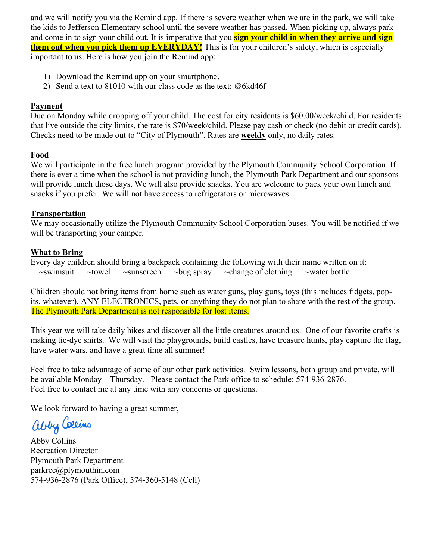and we will notify you via the Remind app. If there is severe weather when we are in the park, we will take the kids to Jefferson Elementary school until the severe weather has passed. When picking up, always park and come in to sign your child out. It is imperative that you **sign your child in when they arrive and sign them out when you pick them up EVERYDAY!** This is for your children's safety, which is especially important to us. Here is how you join the Remind app:

- 1) Download the Remind app on your smartphone.
- 2) Send a text to 81010 with our class code as the text: @6kd46f

#### **Payment**

Due on Monday while dropping off your child. The cost for city residents is \$60.00/week/child. For residents that live outside the city limits, the rate is \$70/week/child. Please pay cash or check (no debit or credit cards). Checks need to be made out to "City of Plymouth". Rates are **weekly** only, no daily rates.

#### **Food**

We will participate in the free lunch program provided by the Plymouth Community School Corporation. If there is ever a time when the school is not providing lunch, the Plymouth Park Department and our sponsors will provide lunch those days. We will also provide snacks. You are welcome to pack your own lunch and snacks if you prefer. We will not have access to refrigerators or microwaves.

#### **Transportation**

We may occasionally utilize the Plymouth Community School Corporation buses. You will be notified if we will be transporting your camper.

#### **What to Bring**

Every day children should bring a backpack containing the following with their name written on it:  $\sim$ swimsuit  $\sim$ towel  $\sim$ sunscreen  $\sim$ bug spray  $\sim$ change of clothing  $\sim$ water bottle

Children should not bring items from home such as water guns, play guns, toys (this includes fidgets, popits, whatever), ANY ELECTRONICS, pets, or anything they do not plan to share with the rest of the group. The Plymouth Park Department is not responsible for lost items.

This year we will take daily hikes and discover all the little creatures around us. One of our favorite crafts is making tie-dye shirts. We will visit the playgrounds, build castles, have treasure hunts, play capture the flag, have water wars, and have a great time all summer!

Feel free to take advantage of some of our other park activities. Swim lessons, both group and private, will be available Monday – Thursday. Please contact the Park office to schedule: 574-936-2876. Feel free to contact me at any time with any concerns or questions.

We look forward to having a great summer,

abby Callins

Abby Collins Recreation Director Plymouth Park Department parkrec@plymouthin.com 574-936-2876 (Park Office), 574-360-5148 (Cell)